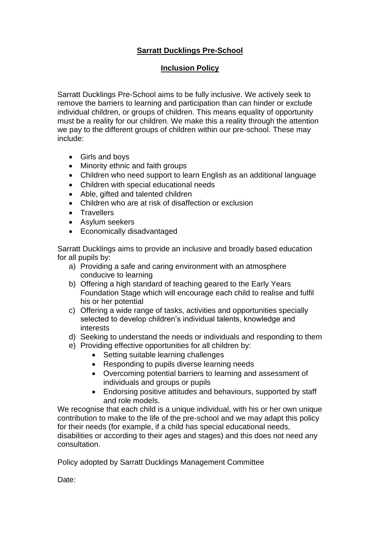## **Sarratt Ducklings Pre-School**

## **Inclusion Policy**

Sarratt Ducklings Pre-School aims to be fully inclusive. We actively seek to remove the barriers to learning and participation than can hinder or exclude individual children, or groups of children. This means equality of opportunity must be a reality for our children. We make this a reality through the attention we pay to the different groups of children within our pre-school. These may include:

- Girls and boys
- Minority ethnic and faith groups
- Children who need support to learn English as an additional language
- Children with special educational needs
- Able, gifted and talented children
- Children who are at risk of disaffection or exclusion
- Travellers
- Asylum seekers
- Economically disadvantaged

Sarratt Ducklings aims to provide an inclusive and broadly based education for all pupils by:

- a) Providing a safe and caring environment with an atmosphere conducive to learning
- b) Offering a high standard of teaching geared to the Early Years Foundation Stage which will encourage each child to realise and fulfil his or her potential
- c) Offering a wide range of tasks, activities and opportunities specially selected to develop children's individual talents, knowledge and interests
- d) Seeking to understand the needs or individuals and responding to them
- e) Providing effective opportunities for all children by:
	- Setting suitable learning challenges
		- Responding to pupils diverse learning needs
		- Overcoming potential barriers to learning and assessment of individuals and groups or pupils
		- Endorsing positive attitudes and behaviours, supported by staff and role models.

We recognise that each child is a unique individual, with his or her own unique contribution to make to the life of the pre-school and we may adapt this policy for their needs (for example, if a child has special educational needs, disabilities or according to their ages and stages) and this does not need any consultation.

Policy adopted by Sarratt Ducklings Management Committee

Date: